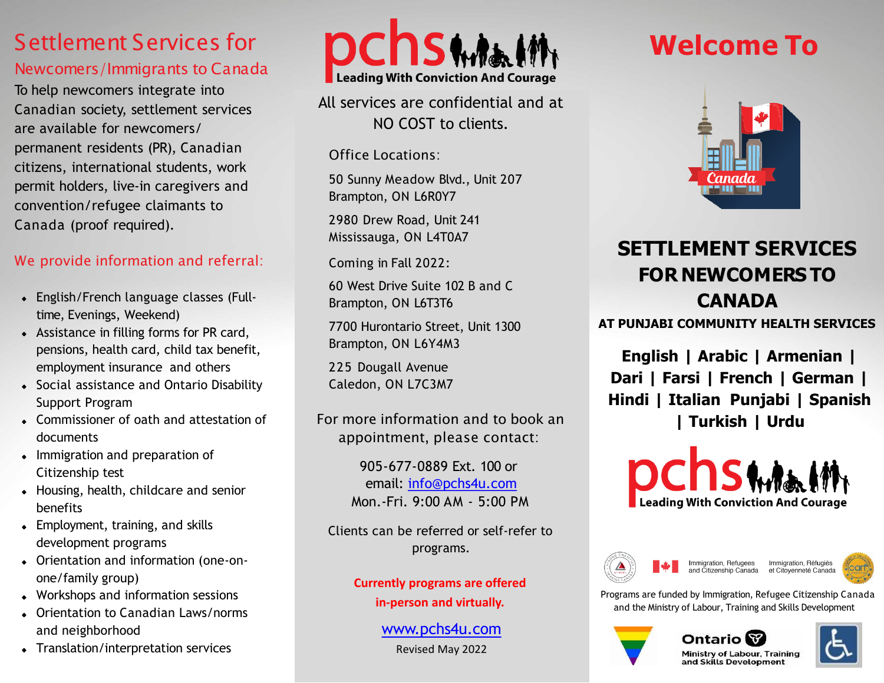# Settlement Services for

## Newcomers/Immigrants to Canada

To help newcomers integrate into Canadian society, settlement services are available for newcomers/ permanent residents (PR), Canadian citizens, international students, work permit holders, live-in caregivers and convention/refugee claimants to Canada (proof required).

## We provide information and referral:

- English/French language classes (Fulltime, Evenings, Weekend)
- Assistance in filling forms for PR card, pensions, health card, child tax benefit, employment insurance and others
- Social assistance and Ontario Disability Support Program
- Commissioner of oath and attestation of documents
- Immigration and preparation of Citizenship test
- Housing, health, childcare and senior benefits
- Employment, training, and skills development programs
- Orientation and information (one-onone/family group)
- Workshops and information sessions
- Orientation to Canadian Laws/norms and neighborhood
- Translation/interpretation services



All services are confidential and at NO COST to clients.

Office Locations:

50 Sunny Meadow Blvd., Unit 207 Brampton, ON L6R0Y7

2980 Drew Road, Unit 241 Mississauga, ON L4T0A7

Coming in Fall 2022:

60 West Drive Suite 102 B and C Brampton, ON L6T3T6

7700 Hurontario Street, Unit 1300 Brampton, ON L6Y4M3

225 Dougall Avenue Caledon, ON L7C3M7

For more information and to book an appointment, please contact:

> 905-677-0889 Ext. 100 or email: [info@pchs4u.com](mailto:info@pchs4u.com) Mon.-Fri. 9:00 AM - 5:00 PM

Clients can be referred or self-refer to programs.

> **Currently programs are offered in-person and virtually.**

#### [www.pchs4u.com](http://www.pchs4u.com/) Revised May 2022

# **Welcome To**



# **SETTLEMENT SERVICES FOR NEWCOMERS TO CANADA**

**AT PUNJABI COMMUNITY HEALTH SERVICES**

**English | Arabic | Armenian | Dari | Farsi | French | German | Hindi | Italian Punjabi | Spanish | Turkish | Urdu**







Programs are funded by Immigration, Refugee Citizenship Canada and the Ministry of Labour, Training and Skills Development